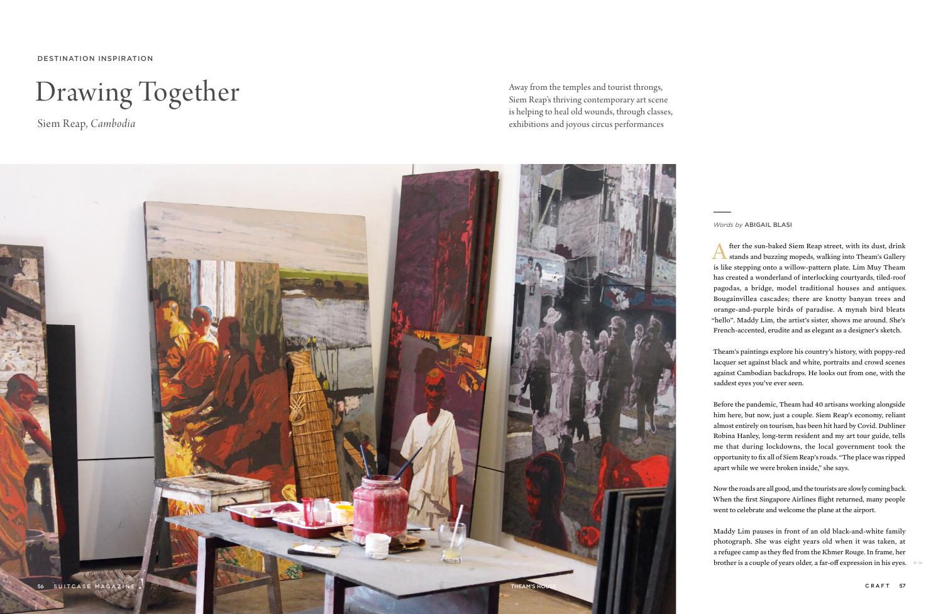DESTINATION INSPIRATION

## Drawing Together

Siem Reap, *Cambodia*

Away from the temples and tourist throngs, Siem Reap's thriving contemporary art scene is helping to heal old wounds, through classes, exhibitions and joyous circus performances



*Words by* ABIGAIL BLASI

After the sun-baked Siem Reap street, with its dust, drink stands and buzzing mopeds, walking into Theam's Gallery is like stepping onto a willow-pattern plate. Lim Muy Theam has created a wonderland of interlocking courtyards, tiled-roof pagodas, a bridge, model traditional houses and antiques. Bougainvillea cascades; there are knotty banyan trees and orange-and-purple birds of paradise. A mynah bird bleats "hello". Maddy Lim, the artist's sister, shows me around. She's French-accented, erudite and as elegant as a designer's sketch.

Theam's paintings explore his country's history, with poppy-red lacquer set against black and white, portraits and crowd scenes against Cambodian backdrops. He looks out from one, with the saddest eyes you've ever seen.

Before the pandemic, Theam had 40 artisans working alongside him here, but now, just a couple. Siem Reap's economy, reliant almost entirely on tourism, has been hit hard by Covid. Dubliner Robina Hanley, long-term resident and my art tour guide, tells me that during lockdowns, the local government took the opportunity to fix all of Siem Reap's roads. "The place was ripped apart while we were broken inside," she says.

Now the roads are all good, and the tourists are slowly coming back. When the first Singapore Airlines flight returned, many people went to celebrate and welcome the plane at the airport.

Maddy Lim pauses in front of an old black-and-white family photograph. She was eight years old when it was taken, at a refugee camp as they fled from the Khmer Rouge. In frame, her brother is a couple of years older, a far-off expression in his eyes.  $\blacktriangleright$